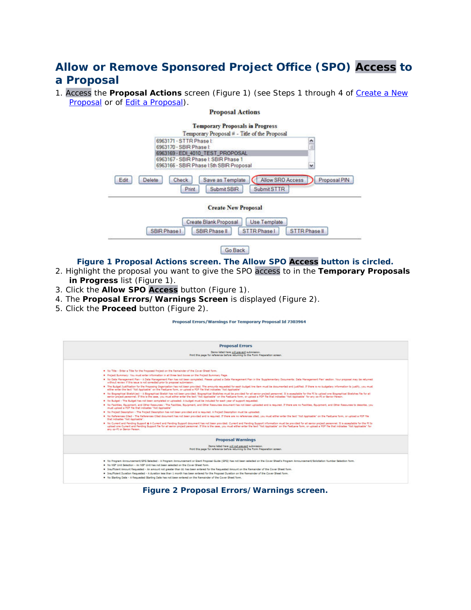# **Allow or Remove Sponsored Project Office (SPO) Access to a Proposal**

1. Access the **Proposal Actions** screen (Figure 1) (see Steps 1 through 4 of [Create a New](https://www.fastlane.nsf.gov/NSFHelp/flashhelp/fastlane/FastLane_Help/create_a_new_proposal.htm)  [Proposal](https://www.fastlane.nsf.gov/NSFHelp/flashhelp/fastlane/FastLane_Help/create_a_new_proposal.htm) or of [Edit a Proposal\)](https://www.fastlane.nsf.gov/NSFHelp/flashhelp/fastlane/FastLane_Help/edit_a_proposal.htm).

#### **Proposal Actions**



**Create New Proposal** 



Go Back

### **Figure 1 Proposal Actions screen. The Allow SPO Access button is circled.**

- 2. Highlight the proposal you want to give the SPO access to in the **Temporary Proposals in Progress** list (Figure 1).
- 3. Click the **Allow SPO Access** button (Figure 1).
- 4. The **Proposal Errors/Warnings Screen** is displayed (Figure 2).
- 5. Click the **Proceed** button (Figure 2).

Proposal Errors/Warnings For Temporary Proposal Id 7303964

|                                                                                                                            | <b>Proposal Errors</b>                                                                                                                                                                                                                                                                                                                                                                                                                                                                      |
|----------------------------------------------------------------------------------------------------------------------------|---------------------------------------------------------------------------------------------------------------------------------------------------------------------------------------------------------------------------------------------------------------------------------------------------------------------------------------------------------------------------------------------------------------------------------------------------------------------------------------------|
| Zens lided here will prevent submission.<br>Print this page for reference before returning to the Form Preparation screen. |                                                                                                                                                                                                                                                                                                                                                                                                                                                                                             |
|                                                                                                                            |                                                                                                                                                                                                                                                                                                                                                                                                                                                                                             |
|                                                                                                                            | . . No Title - Enter a Title for the Proposed Project on the Remainder of the Cover Sheet form.                                                                                                                                                                                                                                                                                                                                                                                             |
|                                                                                                                            | * Project Summary: You must enter information in all three text boses on the Project Summary Page.                                                                                                                                                                                                                                                                                                                                                                                          |
|                                                                                                                            | . No Data Management Plan - A Data Management Plan has not been completed. Please upload a Data Management Plan in the 'Supplementary Documents: Data Management Plan' section. Your proposal may be returned.<br>without review if this issue is not corrected prior to proposal submission.                                                                                                                                                                                               |
|                                                                                                                            | . The Sudget Justification for the Proposing Organization has not been provided. The amounts requested for each budget line item must be documented and justified. If there is no budgetary information to justify, you must<br>either enter the text "Not Applicable" on the FastLane form, or upload a PDF file that indicates "Not Applicable"                                                                                                                                           |
|                                                                                                                            | . No Begreefiest Sketch(es) - A Begreefiest Sketch has not been provided. Begreefiest Sketches must be provided for all senior project personnel. It is acceptable for the FC to upload one Bographical Sketches file for all<br>senior project personnel. If this is the case, you must either enter the text "Not Applicable" on the FastLane form, or upload a PDF file that indicates "Not Applicable" for any co-PI or Senior Person.                                                  |
|                                                                                                                            | . No Budget - The Budget has not been completed or uploaded. A budget must be included for each year of support requested.                                                                                                                                                                                                                                                                                                                                                                  |
|                                                                                                                            | . No Facilities, Equipment, and Other Resources - The Facilities, Equipment, and Other Resources document has not been uploaded and is required. If there are no Facilities, Equipment, and Other Resources to describe, you<br>must upload a PDP file that indicates "Not Applicable"                                                                                                                                                                                                      |
|                                                                                                                            | * No Project Description - The Project Description has not been provided and is required. A Project Description must be uploaded.                                                                                                                                                                                                                                                                                                                                                           |
|                                                                                                                            | * No References Clad - The References Clad document has not been provided and is required. If there are no references clad, you must either enter the text "Not Applicable" on the FastLane form, or upload a PDF file<br>that indicates "Not Applicable".                                                                                                                                                                                                                                  |
|                                                                                                                            | * No Current and Pending Support & A Current and Pending Support decument has not been provided. Current and Pending Support information must be provided for all senior project personnel. It is acceptable for the FL to<br>upload one Cument and Pending Support file for all earlor project personnel. If this is the case, you must either enter the text "Not Applicable" on the Fastland form, or upload a PDF file that indicates "Not Applicable" f<br>any co-PI or Senior Person. |
|                                                                                                                            | <b>Proposal Warnings</b>                                                                                                                                                                                                                                                                                                                                                                                                                                                                    |
|                                                                                                                            | Dams lated here will not prevent submission.<br>Print this page for reference before returning to the Form Preparation screen.                                                                                                                                                                                                                                                                                                                                                              |
|                                                                                                                            |                                                                                                                                                                                                                                                                                                                                                                                                                                                                                             |
|                                                                                                                            | . No Program Announcement/GPG Selected - A Program Announcement or Grant Proposal Guide (GPG) has not been selected on the Cover Sheet's Program Announcement/Solicitation Number Selection form.                                                                                                                                                                                                                                                                                           |
|                                                                                                                            | . No NSF Unit Selection - An NSF Unit has not been selected on the Cover Sheet form.                                                                                                                                                                                                                                                                                                                                                                                                        |
|                                                                                                                            | . Insufficient Amount Requested - An amount not greater than \$1 has been entered for the Requested Amount on the Remainder of the Cover Sheet form.                                                                                                                                                                                                                                                                                                                                        |
|                                                                                                                            | . Insufficient Duration Requested - A duration less than 1 month has been entered for the Proposal Duration on the Remainder of the Cover Sheet form.<br>. No Starting Date - A Requested Starting Date has not been entered on the Remainder of the Cover Sheet form,                                                                                                                                                                                                                      |

#### **Figure 2 Proposal Errors/Warnings screen.**